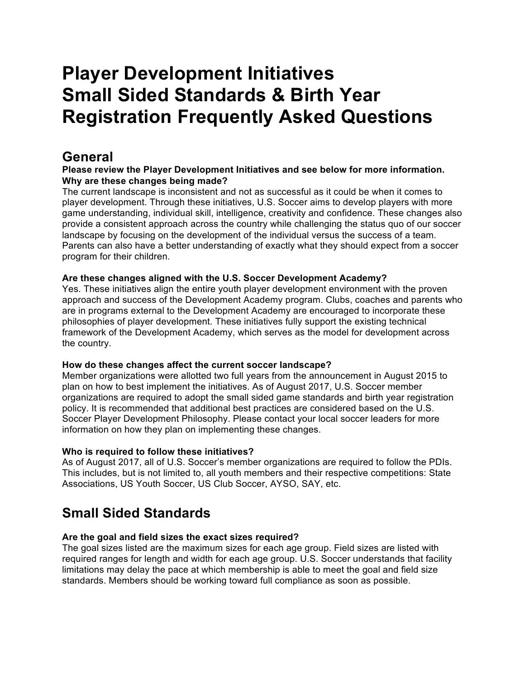# **Player Development Initiatives Small Sided Standards & Birth Year Registration Frequently Asked Questions**

# **General**

# **Please review the Player Development Initiatives and see below for more information. Why are these changes being made?**

The current landscape is inconsistent and not as successful as it could be when it comes to player development. Through these initiatives, U.S. Soccer aims to develop players with more game understanding, individual skill, intelligence, creativity and confidence. These changes also provide a consistent approach across the country while challenging the status quo of our soccer landscape by focusing on the development of the individual versus the success of a team. Parents can also have a better understanding of exactly what they should expect from a soccer program for their children.

# **Are these changes aligned with the U.S. Soccer Development Academy?**

Yes. These initiatives align the entire youth player development environment with the proven approach and success of the Development Academy program. Clubs, coaches and parents who are in programs external to the Development Academy are encouraged to incorporate these philosophies of player development. These initiatives fully support the existing technical framework of the Development Academy, which serves as the model for development across the country.

# **How do these changes affect the current soccer landscape?**

Member organizations were allotted two full years from the announcement in August 2015 to plan on how to best implement the initiatives. As of August 2017, U.S. Soccer member organizations are required to adopt the small sided game standards and birth year registration policy. It is recommended that additional best practices are considered based on the U.S. Soccer Player Development Philosophy. Please contact your local soccer leaders for more information on how they plan on implementing these changes.

# **Who is required to follow these initiatives?**

As of August 2017, all of U.S. Soccer's member organizations are required to follow the PDIs. This includes, but is not limited to, all youth members and their respective competitions: State Associations, US Youth Soccer, US Club Soccer, AYSO, SAY, etc.

# **Small Sided Standards**

# **Are the goal and field sizes the exact sizes required?**

The goal sizes listed are the maximum sizes for each age group. Field sizes are listed with required ranges for length and width for each age group. U.S. Soccer understands that facility limitations may delay the pace at which membership is able to meet the goal and field size standards. Members should be working toward full compliance as soon as possible.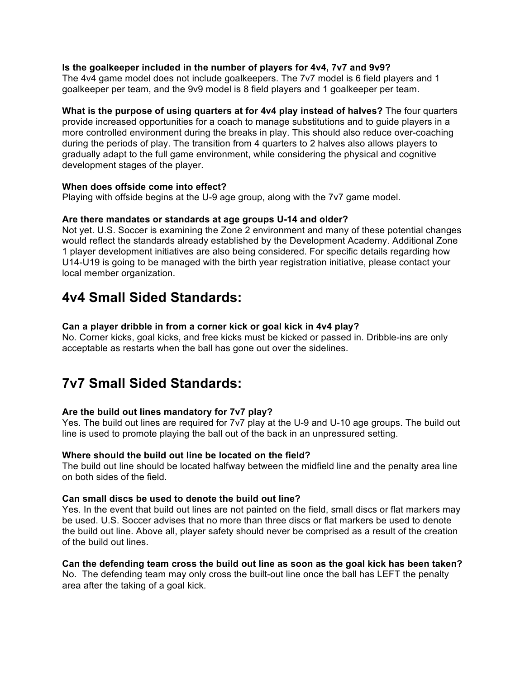#### **Is the goalkeeper included in the number of players for 4v4, 7v7 and 9v9?**

The 4v4 game model does not include goalkeepers. The 7v7 model is 6 field players and 1 goalkeeper per team, and the 9v9 model is 8 field players and 1 goalkeeper per team.

**What is the purpose of using quarters at for 4v4 play instead of halves?** The four quarters provide increased opportunities for a coach to manage substitutions and to guide players in a more controlled environment during the breaks in play. This should also reduce over-coaching during the periods of play. The transition from 4 quarters to 2 halves also allows players to gradually adapt to the full game environment, while considering the physical and cognitive development stages of the player.

#### **When does offside come into effect?**

Playing with offside begins at the U-9 age group, along with the 7v7 game model.

#### **Are there mandates or standards at age groups U-14 and older?**

Not yet. U.S. Soccer is examining the Zone 2 environment and many of these potential changes would reflect the standards already established by the Development Academy. Additional Zone 1 player development initiatives are also being considered. For specific details regarding how U14-U19 is going to be managed with the birth year registration initiative, please contact your local member organization.

# **4v4 Small Sided Standards:**

#### **Can a player dribble in from a corner kick or goal kick in 4v4 play?**

No. Corner kicks, goal kicks, and free kicks must be kicked or passed in. Dribble-ins are only acceptable as restarts when the ball has gone out over the sidelines.

# **7v7 Small Sided Standards:**

# **Are the build out lines mandatory for 7v7 play?**

Yes. The build out lines are required for 7v7 play at the U-9 and U-10 age groups. The build out line is used to promote playing the ball out of the back in an unpressured setting.

#### **Where should the build out line be located on the field?**

The build out line should be located halfway between the midfield line and the penalty area line on both sides of the field.

#### **Can small discs be used to denote the build out line?**

Yes. In the event that build out lines are not painted on the field, small discs or flat markers may be used. U.S. Soccer advises that no more than three discs or flat markers be used to denote the build out line. Above all, player safety should never be comprised as a result of the creation of the build out lines.

#### **Can the defending team cross the build out line as soon as the goal kick has been taken?**

No. The defending team may only cross the built-out line once the ball has LEFT the penalty area after the taking of a goal kick.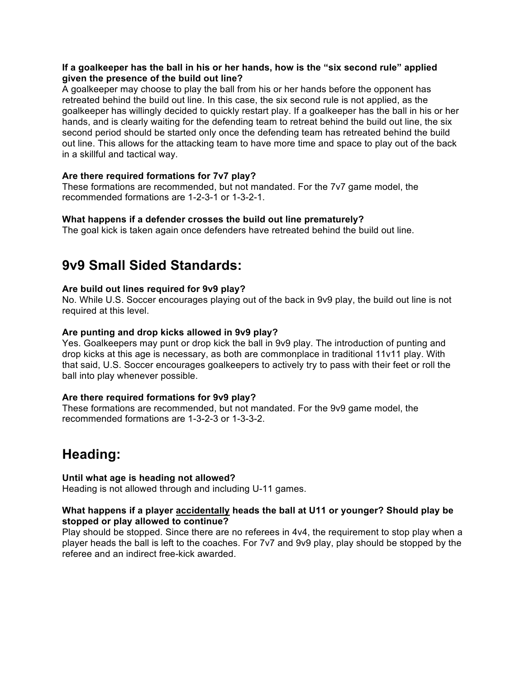#### **If a goalkeeper has the ball in his or her hands, how is the "six second rule" applied given the presence of the build out line?**

A goalkeeper may choose to play the ball from his or her hands before the opponent has retreated behind the build out line. In this case, the six second rule is not applied, as the goalkeeper has willingly decided to quickly restart play. If a goalkeeper has the ball in his or her hands, and is clearly waiting for the defending team to retreat behind the build out line, the six second period should be started only once the defending team has retreated behind the build out line. This allows for the attacking team to have more time and space to play out of the back in a skillful and tactical way.

# **Are there required formations for 7v7 play?**

These formations are recommended, but not mandated. For the 7v7 game model, the recommended formations are 1-2-3-1 or 1-3-2-1.

# **What happens if a defender crosses the build out line prematurely?**

The goal kick is taken again once defenders have retreated behind the build out line.

# **9v9 Small Sided Standards:**

#### **Are build out lines required for 9v9 play?**

No. While U.S. Soccer encourages playing out of the back in 9v9 play, the build out line is not required at this level.

#### **Are punting and drop kicks allowed in 9v9 play?**

Yes. Goalkeepers may punt or drop kick the ball in 9v9 play. The introduction of punting and drop kicks at this age is necessary, as both are commonplace in traditional 11v11 play. With that said, U.S. Soccer encourages goalkeepers to actively try to pass with their feet or roll the ball into play whenever possible.

#### **Are there required formations for 9v9 play?**

These formations are recommended, but not mandated. For the 9v9 game model, the recommended formations are 1-3-2-3 or 1-3-3-2.

# **Heading:**

# **Until what age is heading not allowed?**

Heading is not allowed through and including U-11 games.

#### **What happens if a player accidentally heads the ball at U11 or younger? Should play be stopped or play allowed to continue?**

Play should be stopped. Since there are no referees in 4v4, the requirement to stop play when a player heads the ball is left to the coaches. For 7v7 and 9v9 play, play should be stopped by the referee and an indirect free-kick awarded.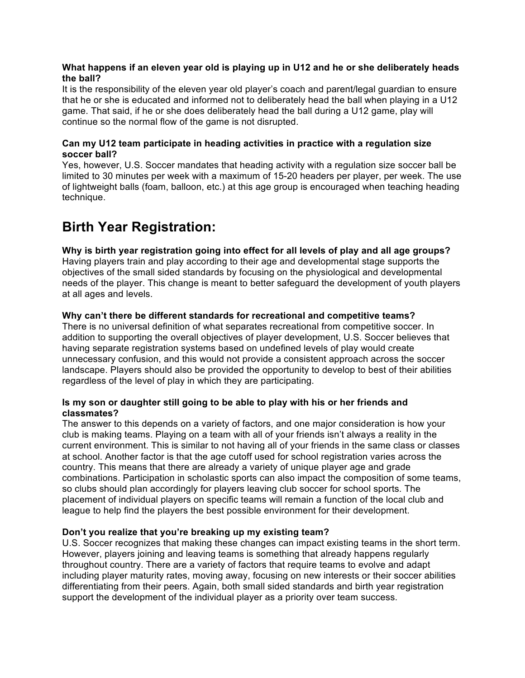### **What happens if an eleven year old is playing up in U12 and he or she deliberately heads the ball?**

It is the responsibility of the eleven year old player's coach and parent/legal guardian to ensure that he or she is educated and informed not to deliberately head the ball when playing in a U12 game. That said, if he or she does deliberately head the ball during a U12 game, play will continue so the normal flow of the game is not disrupted.

### **Can my U12 team participate in heading activities in practice with a regulation size soccer ball?**

Yes, however, U.S. Soccer mandates that heading activity with a regulation size soccer ball be limited to 30 minutes per week with a maximum of 15-20 headers per player, per week. The use of lightweight balls (foam, balloon, etc.) at this age group is encouraged when teaching heading technique.

# **Birth Year Registration:**

**Why is birth year registration going into effect for all levels of play and all age groups?**  Having players train and play according to their age and developmental stage supports the objectives of the small sided standards by focusing on the physiological and developmental needs of the player. This change is meant to better safeguard the development of youth players at all ages and levels.

# **Why can't there be different standards for recreational and competitive teams?**

There is no universal definition of what separates recreational from competitive soccer. In addition to supporting the overall objectives of player development, U.S. Soccer believes that having separate registration systems based on undefined levels of play would create unnecessary confusion, and this would not provide a consistent approach across the soccer landscape. Players should also be provided the opportunity to develop to best of their abilities regardless of the level of play in which they are participating.

#### **Is my son or daughter still going to be able to play with his or her friends and classmates?**

The answer to this depends on a variety of factors, and one major consideration is how your club is making teams. Playing on a team with all of your friends isn't always a reality in the current environment. This is similar to not having all of your friends in the same class or classes at school. Another factor is that the age cutoff used for school registration varies across the country. This means that there are already a variety of unique player age and grade combinations. Participation in scholastic sports can also impact the composition of some teams, so clubs should plan accordingly for players leaving club soccer for school sports. The placement of individual players on specific teams will remain a function of the local club and league to help find the players the best possible environment for their development.

# **Don't you realize that you're breaking up my existing team?**

U.S. Soccer recognizes that making these changes can impact existing teams in the short term. However, players joining and leaving teams is something that already happens regularly throughout country. There are a variety of factors that require teams to evolve and adapt including player maturity rates, moving away, focusing on new interests or their soccer abilities differentiating from their peers. Again, both small sided standards and birth year registration support the development of the individual player as a priority over team success.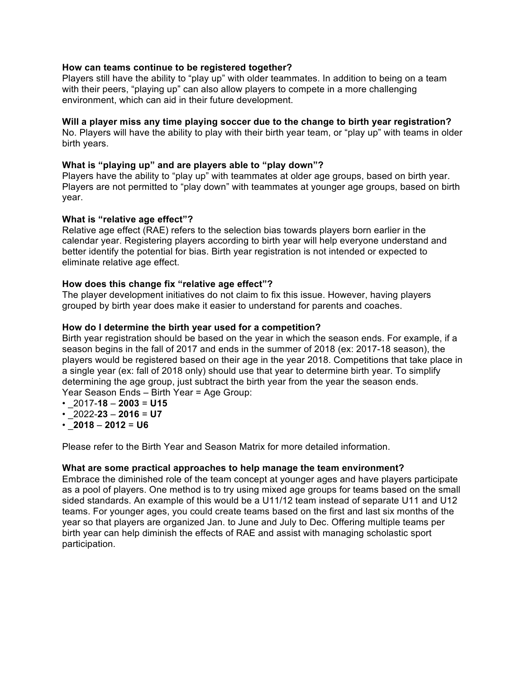#### **How can teams continue to be registered together?**

Players still have the ability to "play up" with older teammates. In addition to being on a team with their peers, "playing up" can also allow players to compete in a more challenging environment, which can aid in their future development.

#### **Will a player miss any time playing soccer due to the change to birth year registration?**

No. Players will have the ability to play with their birth year team, or "play up" with teams in older birth years.

#### **What is "playing up" and are players able to "play down"?**

Players have the ability to "play up" with teammates at older age groups, based on birth year. Players are not permitted to "play down" with teammates at younger age groups, based on birth year.

#### **What is "relative age effect"?**

Relative age effect (RAE) refers to the selection bias towards players born earlier in the calendar year. Registering players according to birth year will help everyone understand and better identify the potential for bias. Birth year registration is not intended or expected to eliminate relative age effect.

#### **How does this change fix "relative age effect"?**

The player development initiatives do not claim to fix this issue. However, having players grouped by birth year does make it easier to understand for parents and coaches.

#### **How do I determine the birth year used for a competition?**

Birth year registration should be based on the year in which the season ends. For example, if a season begins in the fall of 2017 and ends in the summer of 2018 (ex: 2017-18 season), the players would be registered based on their age in the year 2018. Competitions that take place in a single year (ex: fall of 2018 only) should use that year to determine birth year. To simplify determining the age group, just subtract the birth year from the year the season ends. Year Season Ends – Birth Year = Age Group:

- \_2017-**18 2003** = **U15**
- \_2022-**23 2016** = **U7**
- \_**2018 2012** = **U6**

Please refer to the Birth Year and Season Matrix for more detailed information.

#### **What are some practical approaches to help manage the team environment?**

Embrace the diminished role of the team concept at younger ages and have players participate as a pool of players. One method is to try using mixed age groups for teams based on the small sided standards. An example of this would be a U11/12 team instead of separate U11 and U12 teams. For younger ages, you could create teams based on the first and last six months of the year so that players are organized Jan. to June and July to Dec. Offering multiple teams per birth year can help diminish the effects of RAE and assist with managing scholastic sport participation.